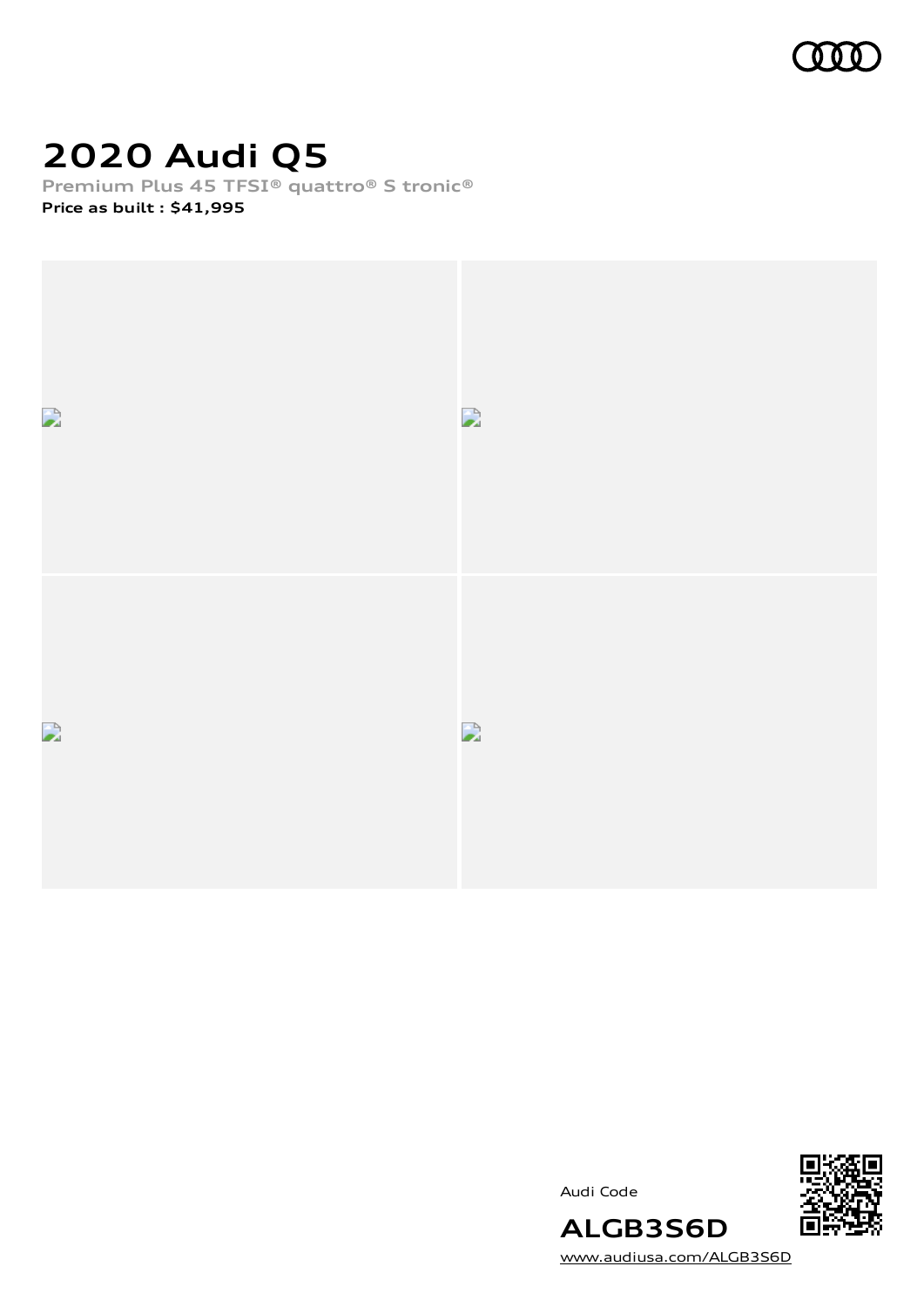

# **2020 Audi Q5**

**Premium Plus 45 TFSI® quattro® S tronic® Price as built [:](#page-8-0) \$41,995**





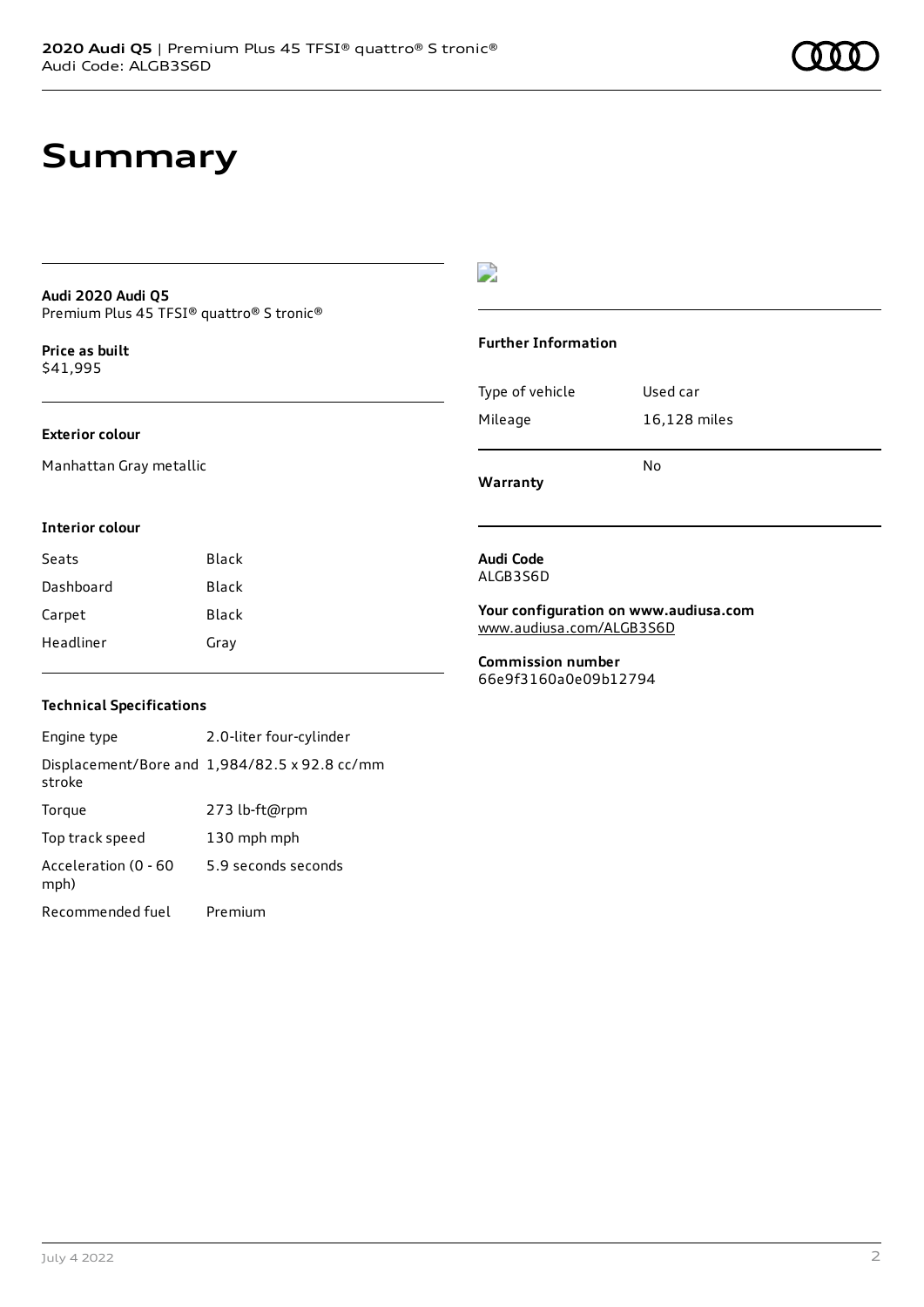#### **Audi 2020 Audi Q5** Premium Plus 45 TFSI® quattro® S tronic®

**Price as buil[t](#page-8-0)** \$41,995

#### **Exterior colour**

Manhattan Gray metallic

### D

#### **Further Information**

|                 | N٥           |
|-----------------|--------------|
| Mileage         | 16,128 miles |
| Type of vehicle | Used car     |

**Warranty**

#### **Interior colour**

| Seats     | Black |
|-----------|-------|
| Dashboard | Black |
| Carpet    | Black |
| Headliner | Gray  |

#### **Audi Code** ALGB3S6D

**Your configuration on www.audiusa.com** [www.audiusa.com/ALGB3S6D](https://www.audiusa.com/ALGB3S6D)

**Commission number** 66e9f3160a0e09b12794

#### **Technical Specifications**

Engine type 2.0-liter four-cylinder Displacement/Bore and 1,984/82.5 x 92.8 cc/mm stroke Torque 273 lb-ft@rpm Top track speed 130 mph mph Acceleration (0 - 60 mph) 5.9 seconds seconds Recommended fuel Premium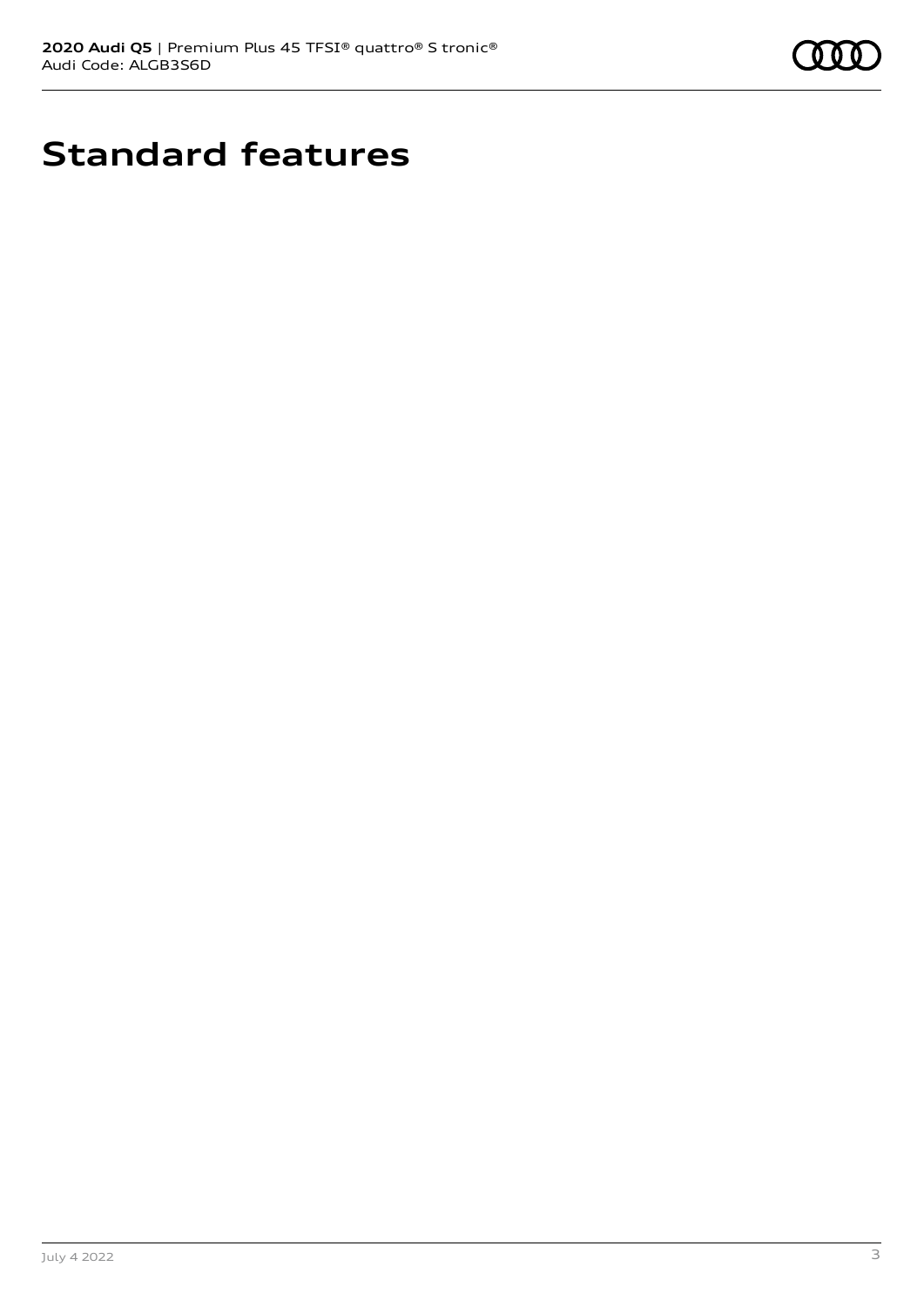

# **Standard features**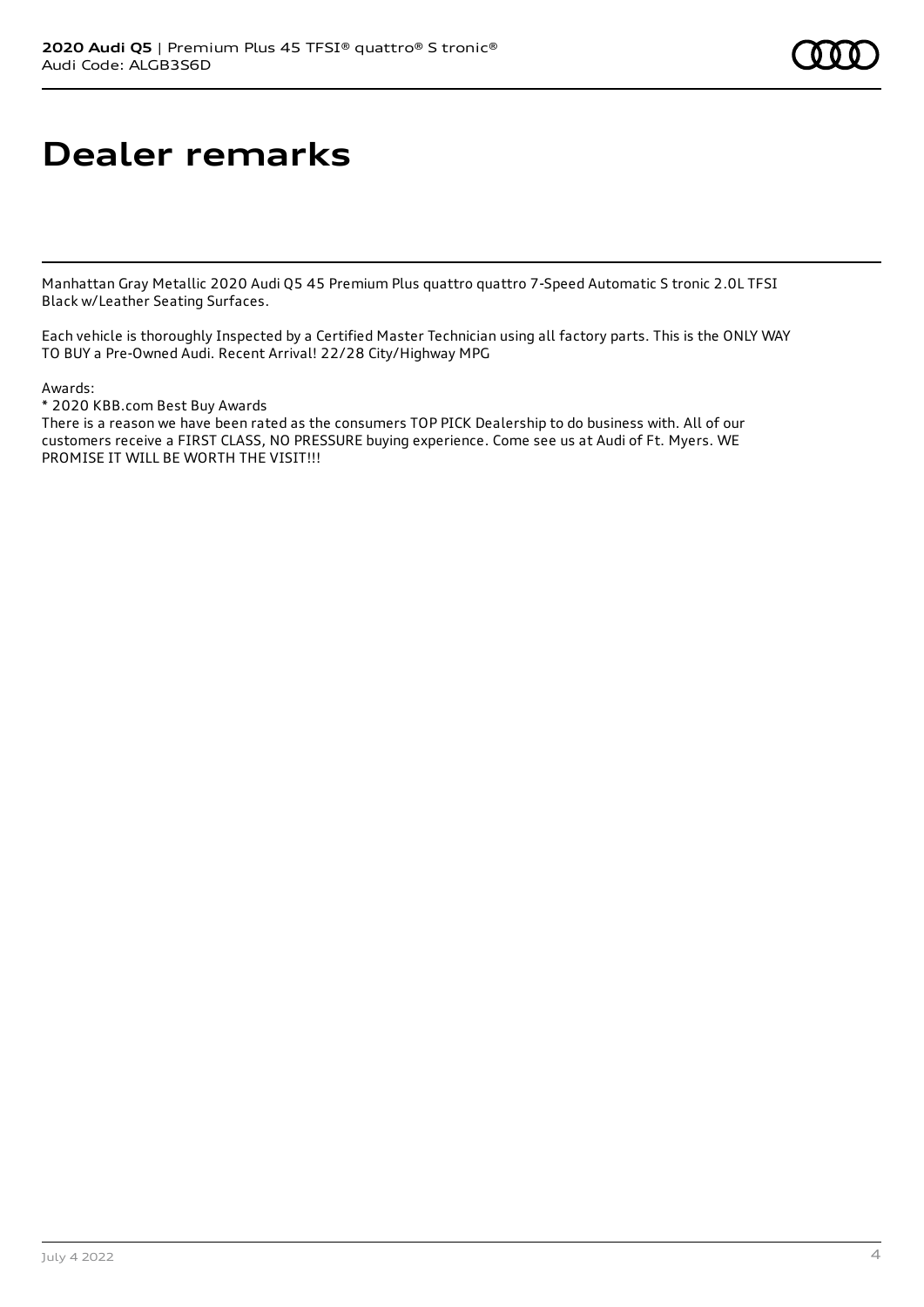# **Dealer remarks**

Manhattan Gray Metallic 2020 Audi Q5 45 Premium Plus quattro quattro 7-Speed Automatic S tronic 2.0L TFSI Black w/Leather Seating Surfaces.

Each vehicle is thoroughly Inspected by a Certified Master Technician using all factory parts. This is the ONLY WAY TO BUY a Pre-Owned Audi. Recent Arrival! 22/28 City/Highway MPG

Awards:

\* 2020 KBB.com Best Buy Awards

There is a reason we have been rated as the consumers TOP PICK Dealership to do business with. All of our customers receive a FIRST CLASS, NO PRESSURE buying experience. Come see us at Audi of Ft. Myers. WE PROMISE IT WILL BE WORTH THE VISIT!!!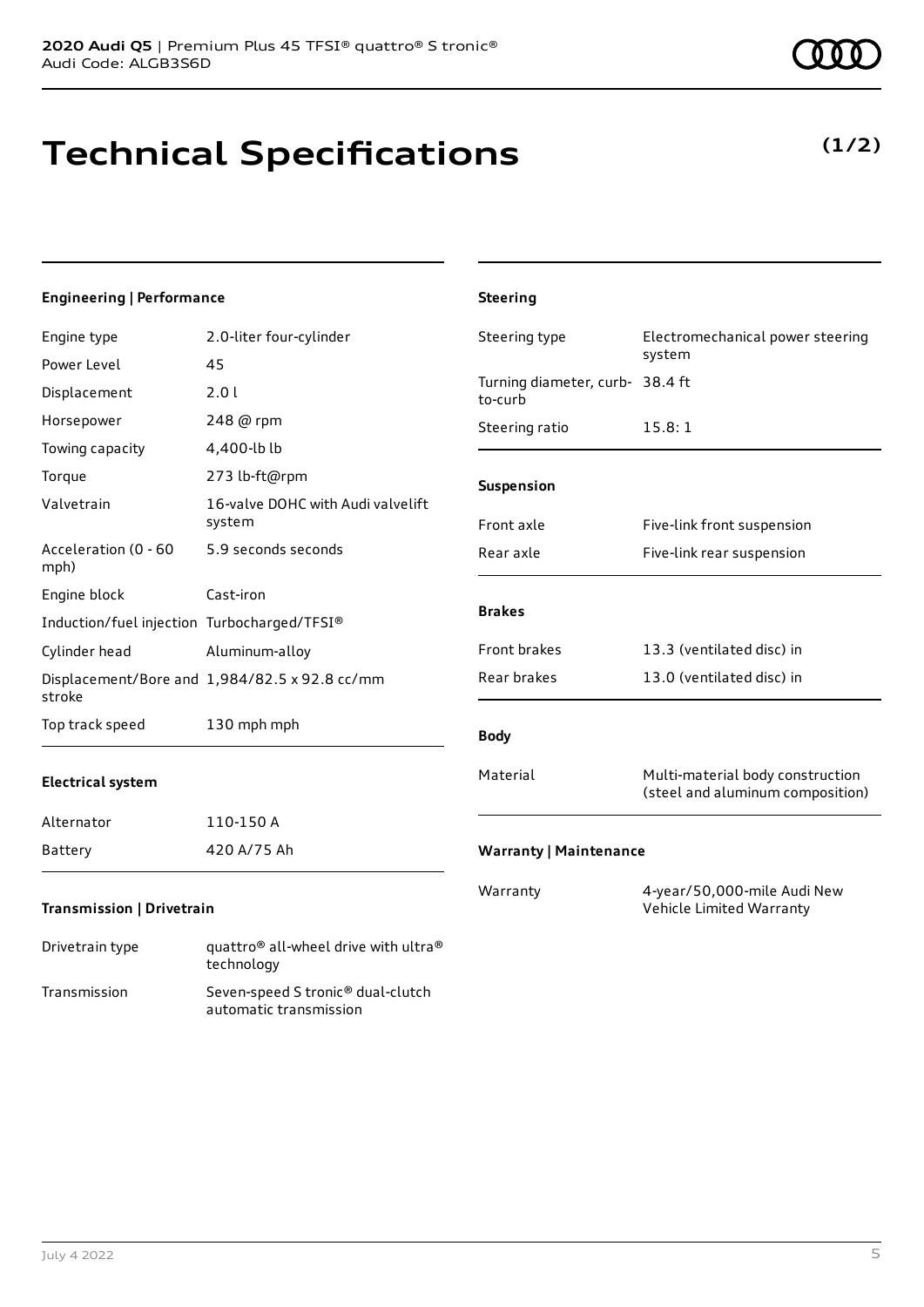# **Technical Specifications**

Drivetrain type quattro® all-wheel drive with ultra® technology Transmission Seven-speed S tronic® dual-clutch automatic transmission

| <b>Engineering   Performance</b>            |                                               | <b>Steering</b>                            |                                                                      |
|---------------------------------------------|-----------------------------------------------|--------------------------------------------|----------------------------------------------------------------------|
| Engine type                                 | 2.0-liter four-cylinder                       | Steering type                              | Electromechanical power steering                                     |
| Power Level                                 | 45                                            |                                            | system                                                               |
| Displacement                                | 2.0 l                                         | Turning diameter, curb- 38.4 ft<br>to-curb |                                                                      |
| Horsepower                                  | 248 @ rpm                                     | Steering ratio                             | 15.8:1                                                               |
| Towing capacity                             | 4,400-lb lb                                   |                                            |                                                                      |
| Torque                                      | 273 lb-ft@rpm                                 | Suspension                                 |                                                                      |
| Valvetrain                                  | 16-valve DOHC with Audi valvelift<br>system   | Front axle                                 | Five-link front suspension                                           |
| Acceleration (0 - 60<br>mph)                | 5.9 seconds seconds                           | Rear axle                                  | Five-link rear suspension                                            |
| Engine block                                | Cast-iron                                     | <b>Brakes</b>                              |                                                                      |
| Induction/fuel injection Turbocharged/TFSI® |                                               |                                            |                                                                      |
| Cylinder head                               | Aluminum-alloy                                | Front brakes                               | 13.3 (ventilated disc) in                                            |
| stroke                                      | Displacement/Bore and 1,984/82.5 x 92.8 cc/mm | Rear brakes                                | 13.0 (ventilated disc) in                                            |
| Top track speed                             | 130 mph mph                                   | <b>Body</b>                                |                                                                      |
| <b>Electrical system</b>                    |                                               | Material                                   | Multi-material body construction<br>(steel and aluminum composition) |
| Alternator                                  | 110-150 A                                     |                                            |                                                                      |
| <b>Battery</b>                              | 420 A/75 Ah                                   | <b>Warranty   Maintenance</b>              |                                                                      |
| Transmission   Drivetrain                   |                                               | Warranty                                   | 4-year/50,000-mile Audi New<br>Vehicle Limited Warranty              |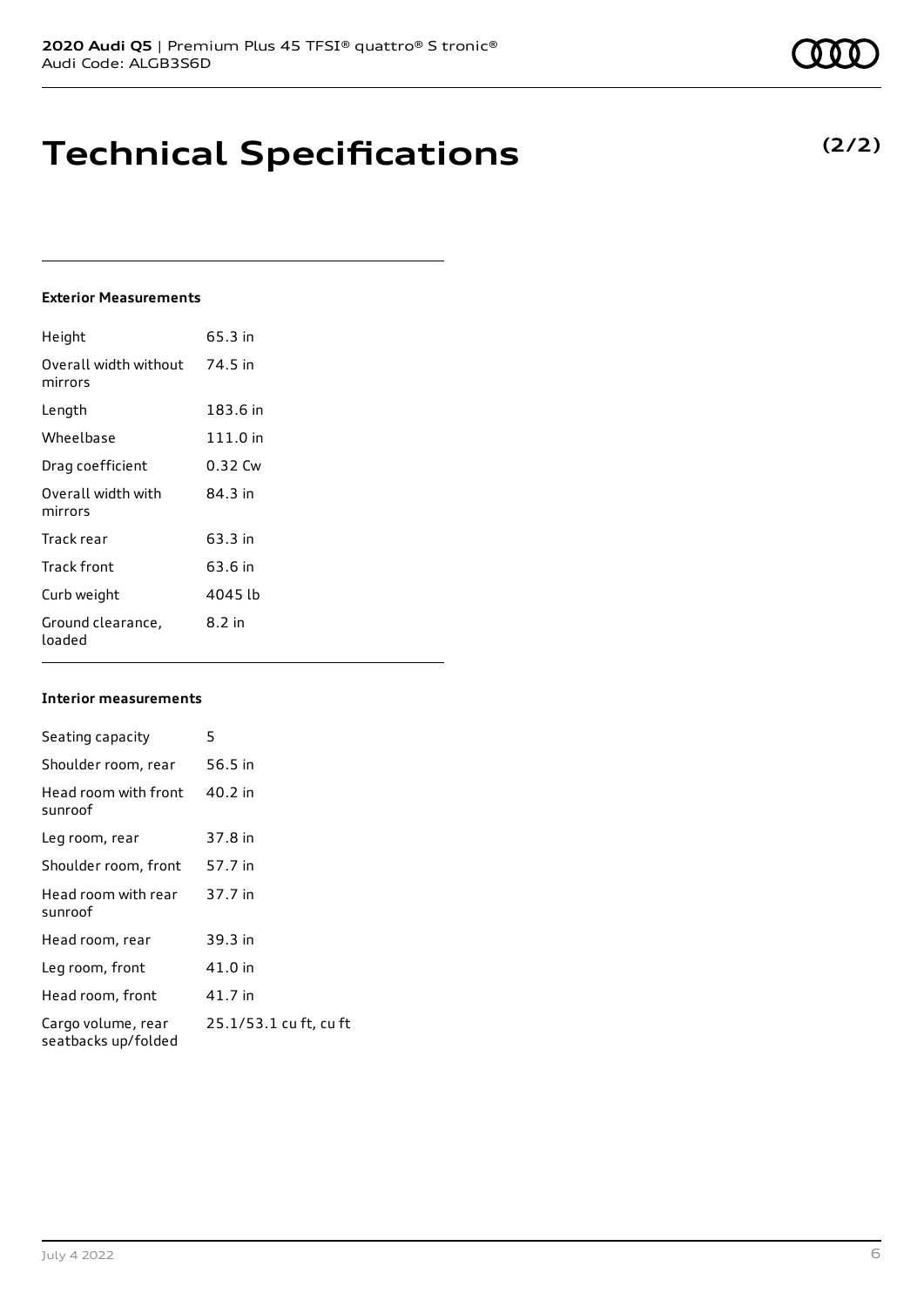# **Technical Specifications**

## **Exterior Measurements**

| Height                           | 65.3 in  |
|----------------------------------|----------|
| Overall width without<br>mirrors | 74.5 in  |
| Length                           | 183.6 in |
| Wheelbase                        | 111.0 in |
| Drag coefficient                 | 0.32 Cw  |
| Overall width with<br>mirrors    | 84.3 in  |
| Track rear                       | 63.3 in  |
| Track front                      | 63.6 in  |
| Curb weight                      | 4045 lb  |
| Ground clearance,<br>loaded      | $8.2$ in |

### **Interior measurements**

| Seating capacity                          | 5                      |
|-------------------------------------------|------------------------|
| Shoulder room, rear                       | 56.5 in                |
| Head room with front<br>sunroof           | 40.2 in                |
| Leg room, rear                            | 37.8 in                |
| Shoulder room, front                      | 57.7 in                |
| Head room with rear<br>sunroof            | 37.7 in                |
| Head room, rear                           | 39.3 in                |
| Leg room, front                           | 41.0 in                |
| Head room, front                          | 41.7 in                |
| Cargo volume, rear<br>seatbacks up/folded | 25.1/53.1 cu ft, cu ft |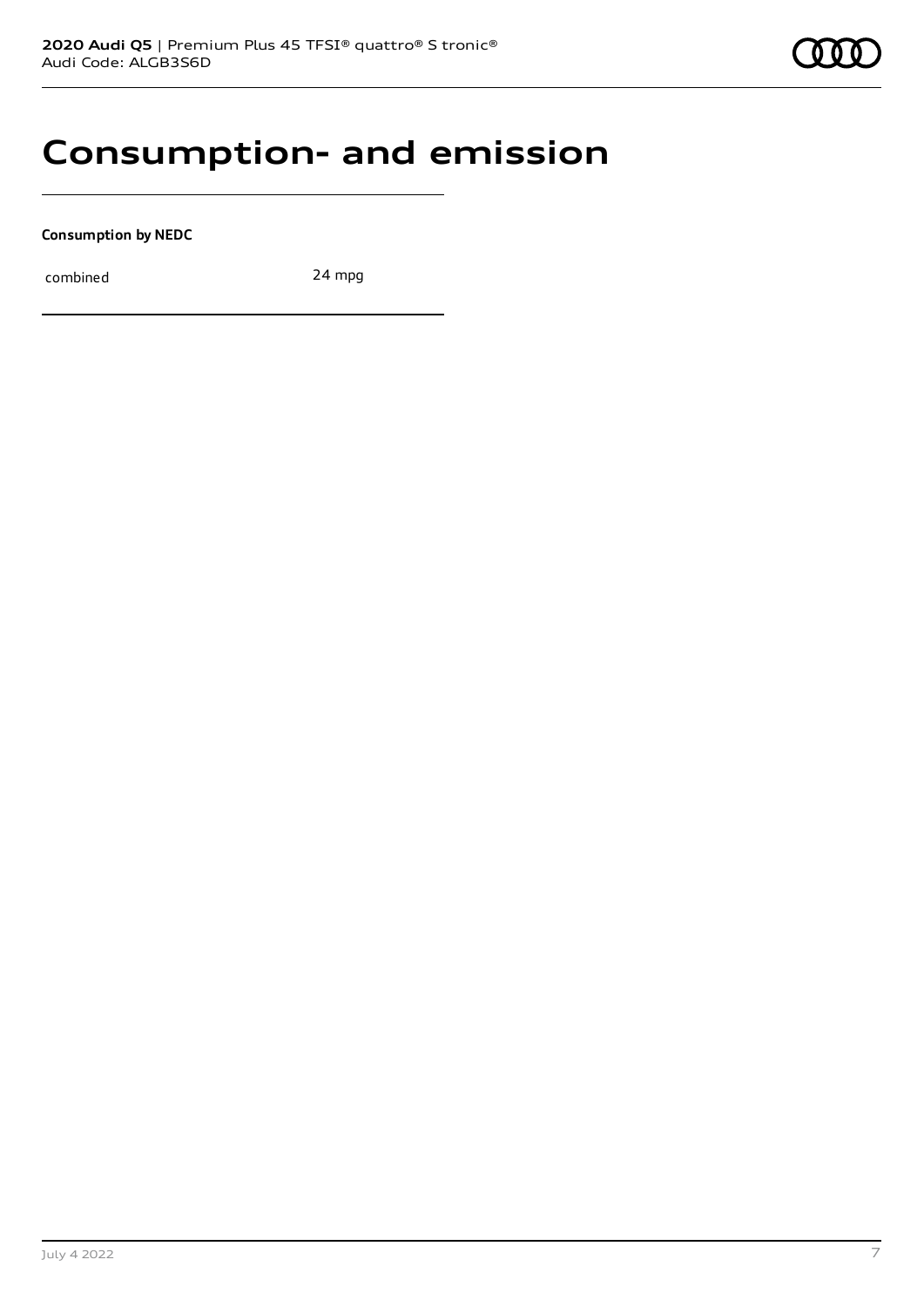## **Consumption- and emission**

**Consumption by NEDC**

combined 24 mpg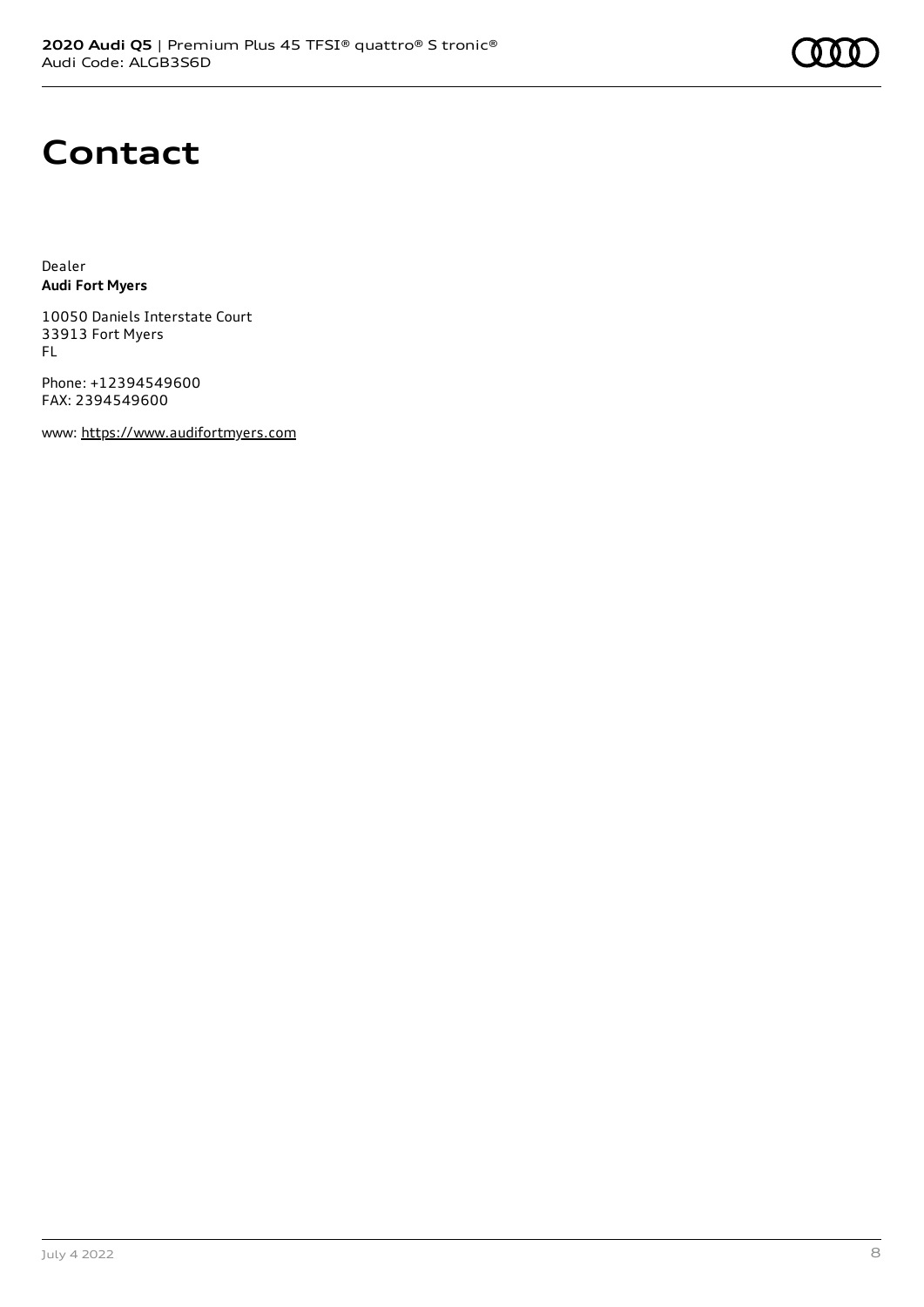## **Contact**

Dealer **Audi Fort Myers**

10050 Daniels Interstate Court 33913 Fort Myers FL

Phone: +12394549600 FAX: 2394549600

www: [https://www.audifortmyers.com](https://www.audifortmyers.com/)